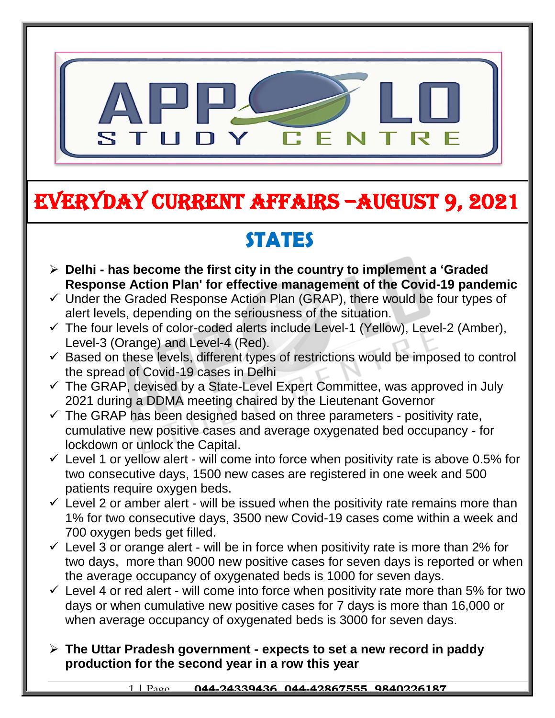

# EVERYDAY CURRENT AFFAIRS –AUGUST 9, 2021

## **STATES**

-

- **Delhi - has become the first city in the country to implement a 'Graded Response Action Plan' for effective management of the Covid-19 pandemic**
- $\checkmark$  Under the Graded Response Action Plan (GRAP), there would be four types of alert levels, depending on the seriousness of the situation.
- $\checkmark$  The four levels of color-coded alerts include Level-1 (Yellow), Level-2 (Amber), Level-3 (Orange) and Level-4 (Red).
- $\checkmark$  Based on these levels, different types of restrictions would be imposed to control the spread of Covid-19 cases in Delhi
- $\checkmark$  The GRAP, devised by a State-Level Expert Committee, was approved in July 2021 during a DDMA meeting chaired by the Lieutenant Governor
- $\checkmark$  The GRAP has been designed based on three parameters positivity rate, cumulative new positive cases and average oxygenated bed occupancy - for lockdown or unlock the Capital.
- $\checkmark$  Level 1 or yellow alert will come into force when positivity rate is above 0.5% for two consecutive days, 1500 new cases are registered in one week and 500 patients require oxygen beds.
- $\checkmark$  Level 2 or amber alert will be issued when the positivity rate remains more than 1% for two consecutive days, 3500 new Covid-19 cases come within a week and 700 oxygen beds get filled.
- $\checkmark$  Level 3 or orange alert will be in force when positivity rate is more than 2% for two days, more than 9000 new positive cases for seven days is reported or when the average occupancy of oxygenated beds is 1000 for seven days.
- $\checkmark$  Level 4 or red alert will come into force when positivity rate more than 5% for two days or when cumulative new positive cases for 7 days is more than 16,000 or when average occupancy of oxygenated beds is 3000 for seven days.
- **The Uttar Pradesh government - expects to set a new record in paddy production for the second year in a row this year**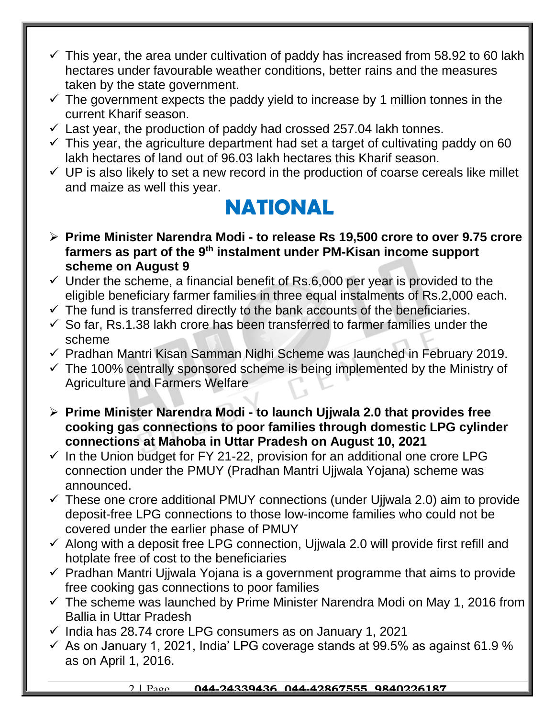- $\checkmark$  This year, the area under cultivation of paddy has increased from 58.92 to 60 lakh hectares under favourable weather conditions, better rains and the measures taken by the state government.
- $\checkmark$  The government expects the paddy yield to increase by 1 million tonnes in the current Kharif season.
- $\checkmark$  Last year, the production of paddy had crossed 257.04 lakh tonnes.
- $\checkmark$  This year, the agriculture department had set a target of cultivating paddy on 60 lakh hectares of land out of 96.03 lakh hectares this Kharif season.
- $\checkmark$  UP is also likely to set a new record in the production of coarse cereals like millet and maize as well this year.

### **NATIONAL**

- **Prime Minister Narendra Modi - to release Rs 19,500 crore to over 9.75 crore farmers as part of the 9th instalment under PM-Kisan income support scheme on August 9**
- $\checkmark$  Under the scheme, a financial benefit of Rs.6,000 per year is provided to the eligible beneficiary farmer families in three equal instalments of Rs.2,000 each.
- $\checkmark$  The fund is transferred directly to the bank accounts of the beneficiaries.
- $\checkmark$  So far, Rs.1.38 lakh crore has been transferred to farmer families under the scheme
- $\checkmark$  Pradhan Mantri Kisan Samman Nidhi Scheme was launched in February 2019.
- $\checkmark$  The 100% centrally sponsored scheme is being implemented by the Ministry of Agriculture and Farmers Welfare
- **Prime Minister Narendra Modi - to launch Ujjwala 2.0 that provides free cooking gas connections to poor families through domestic LPG cylinder connections at Mahoba in Uttar Pradesh on August 10, 2021**
- $\checkmark$  In the Union budget for FY 21-22, provision for an additional one crore LPG connection under the PMUY (Pradhan Mantri Ujjwala Yojana) scheme was announced.
- $\checkmark$  These one crore additional PMUY connections (under Ujjwala 2.0) aim to provide deposit-free LPG connections to those low-income families who could not be covered under the earlier phase of PMUY
- $\checkmark$  Along with a deposit free LPG connection, Ujjwala 2.0 will provide first refill and hotplate free of cost to the beneficiaries
- $\checkmark$  Pradhan Mantri Ujjwala Yojana is a government programme that aims to provide free cooking gas connections to poor families
- $\checkmark$  The scheme was launched by Prime Minister Narendra Modi on May 1, 2016 from Ballia in Uttar Pradesh
- $\checkmark$  India has 28.74 crore LPG consumers as on January 1, 2021
- $\checkmark$  As on January 1, 2021, India' LPG coverage stands at 99.5% as against 61.9 % as on April 1, 2016.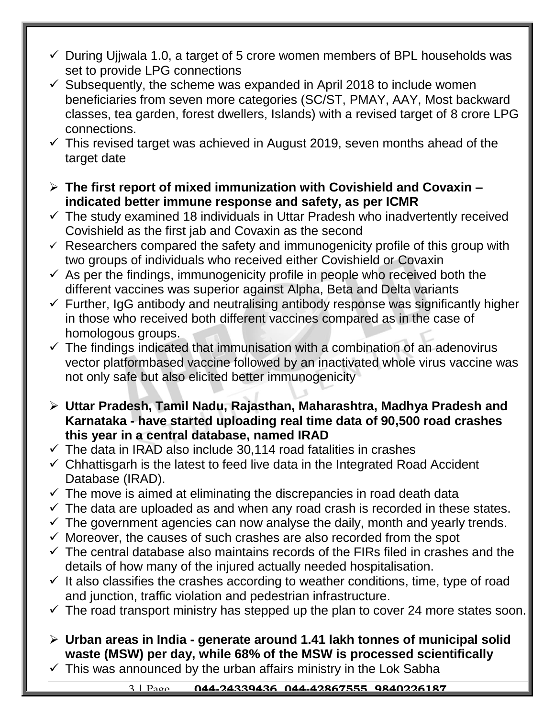- $\checkmark$  During Ujjwala 1.0, a target of 5 crore women members of BPL households was set to provide LPG connections
- $\checkmark$  Subsequently, the scheme was expanded in April 2018 to include women beneficiaries from seven more categories (SC/ST, PMAY, AAY, Most backward classes, tea garden, forest dwellers, Islands) with a revised target of 8 crore LPG connections.
- $\checkmark$  This revised target was achieved in August 2019, seven months ahead of the target date
- **The first report of mixed immunization with Covishield and Covaxin – indicated better immune response and safety, as per ICMR**
- $\checkmark$  The study examined 18 individuals in Uttar Pradesh who inadvertently received Covishield as the first jab and Covaxin as the second
- $\checkmark$  Researchers compared the safety and immunogenicity profile of this group with two groups of individuals who received either Covishield or Covaxin
- $\checkmark$  As per the findings, immunogenicity profile in people who received both the different vaccines was superior against Alpha, Beta and Delta variants
- $\checkmark$  Further, IgG antibody and neutralising antibody response was significantly higher in those who received both different vaccines compared as in the case of homologous groups.
- $\checkmark$  The findings indicated that immunisation with a combination of an adenovirus vector platformbased vaccine followed by an inactivated whole virus vaccine was not only safe but also elicited better immunogenicity
- **Uttar Pradesh, Tamil Nadu, Rajasthan, Maharashtra, Madhya Pradesh and Karnataka - have started uploading real time data of 90,500 road crashes this year in a central database, named IRAD**
- $\checkmark$  The data in IRAD also include 30,114 road fatalities in crashes
- $\checkmark$  Chhattisgarh is the latest to feed live data in the Integrated Road Accident Database (IRAD).
- $\checkmark$  The move is aimed at eliminating the discrepancies in road death data
- $\checkmark$  The data are uploaded as and when any road crash is recorded in these states.
- $\checkmark$  The government agencies can now analyse the daily, month and yearly trends.
- $\checkmark$  Moreover, the causes of such crashes are also recorded from the spot
- $\checkmark$  The central database also maintains records of the FIRs filed in crashes and the details of how many of the injured actually needed hospitalisation.
- $\checkmark$  It also classifies the crashes according to weather conditions, time, type of road and junction, traffic violation and pedestrian infrastructure.
- $\checkmark$  The road transport ministry has stepped up the plan to cover 24 more states soon.
- **Urban areas in India - generate around 1.41 lakh tonnes of municipal solid waste (MSW) per day, while 68% of the MSW is processed scientifically**
- $\checkmark$  This was announced by the urban affairs ministry in the Lok Sabha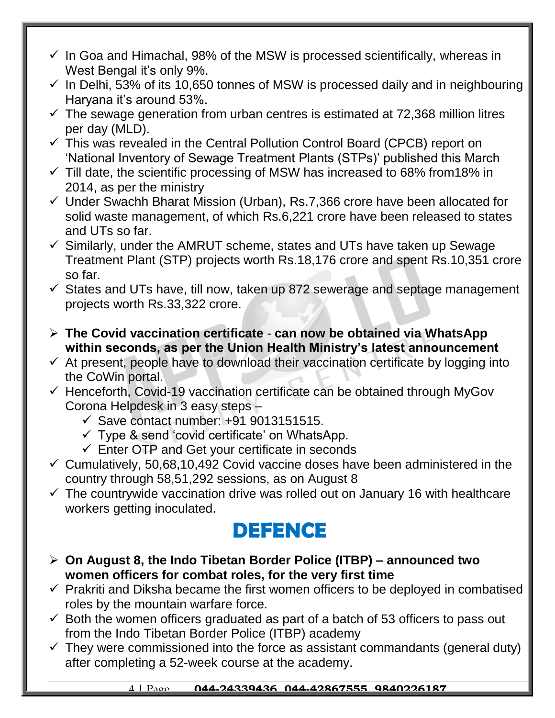- $\checkmark$  In Goa and Himachal, 98% of the MSW is processed scientifically, whereas in West Bengal it's only 9%.
- $\checkmark$  In Delhi, 53% of its 10,650 tonnes of MSW is processed daily and in neighbouring Haryana it's around 53%.
- $\checkmark$  The sewage generation from urban centres is estimated at 72,368 million litres per day (MLD).
- $\checkmark$  This was revealed in the Central Pollution Control Board (CPCB) report on 'National Inventory of Sewage Treatment Plants (STPs)' published this March
- $\checkmark$  Till date, the scientific processing of MSW has increased to 68% from 18% in 2014, as per the ministry
- $\checkmark$  Under Swachh Bharat Mission (Urban), Rs.7,366 crore have been allocated for solid waste management, of which Rs.6,221 crore have been released to states and UTs so far.
- $\checkmark$  Similarly, under the AMRUT scheme, states and UTs have taken up Sewage Treatment Plant (STP) projects worth Rs.18,176 crore and spent Rs.10,351 crore so far.
- $\checkmark$  States and UTs have, till now, taken up 872 sewerage and septage management projects worth Rs.33,322 crore.
- **The Covid vaccination certificate can now be obtained via WhatsApp within seconds, as per the Union Health Ministry's latest announcement**
- $\checkmark$  At present, people have to download their vaccination certificate by logging into the CoWin portal.
- $\checkmark$  Henceforth, Covid-19 vaccination certificate can be obtained through MyGov Corona Helpdesk in 3 easy steps –
	- $\checkmark$  Save contact number: +91 9013151515.
	- $\checkmark$  Type & send 'covid certificate' on WhatsApp.
	- $\checkmark$  Enter OTP and Get your certificate in seconds
- $\checkmark$  Cumulatively, 50,68,10,492 Covid vaccine doses have been administered in the country through 58,51,292 sessions, as on August 8
- $\checkmark$  The countrywide vaccination drive was rolled out on January 16 with healthcare workers getting inoculated.

## **DEFENCE**

- **On August 8, the Indo Tibetan Border Police (ITBP) – announced two women officers for combat roles, for the very first time**
- $\checkmark$  Prakriti and Diksha became the first women officers to be deployed in combatised roles by the mountain warfare force.
- $\checkmark$  Both the women officers graduated as part of a batch of 53 officers to pass out from the Indo Tibetan Border Police (ITBP) academy
- $\checkmark$  They were commissioned into the force as assistant commandants (general duty) after completing a 52-week course at the academy.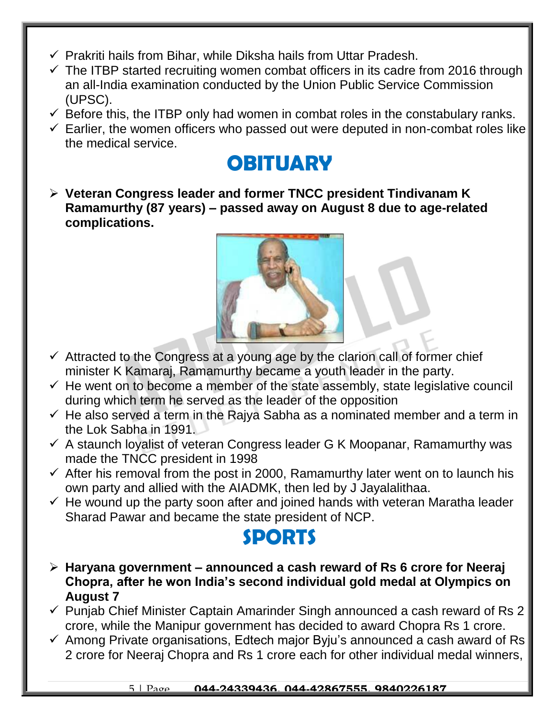- $\checkmark$  Prakriti hails from Bihar, while Diksha hails from Uttar Pradesh.
- $\checkmark$  The ITBP started recruiting women combat officers in its cadre from 2016 through an all-India examination conducted by the Union Public Service Commission (UPSC).
- $\checkmark$  Before this, the ITBP only had women in combat roles in the constabulary ranks.
- $\checkmark$  Earlier, the women officers who passed out were deputed in non-combat roles like the medical service.

### **OBITUARY**

 **Veteran Congress leader and former TNCC president Tindivanam K Ramamurthy (87 years) – passed away on August 8 due to age-related complications.** 



- $\checkmark$  Attracted to the Congress at a young age by the clarion call of former chief minister K Kamaraj, Ramamurthy became a youth leader in the party.
- $\checkmark$  He went on to become a member of the state assembly, state legislative council during which term he served as the leader of the opposition
- $\checkmark$  He also served a term in the Rajya Sabha as a nominated member and a term in the Lok Sabha in 1991.
- $\checkmark$  A staunch loyalist of veteran Congress leader G K Moopanar, Ramamurthy was made the TNCC president in 1998
- $\checkmark$  After his removal from the post in 2000, Ramamurthy later went on to launch his own party and allied with the AIADMK, then led by J Jayalalithaa.
- $\checkmark$  He wound up the party soon after and joined hands with veteran Maratha leader Sharad Pawar and became the state president of NCP.

### **SPORTS**

- **Haryana government – announced a cash reward of Rs 6 crore for Neeraj Chopra, after he won India's second individual gold medal at Olympics on August 7**
- $\checkmark$  Punjab Chief Minister Captain Amarinder Singh announced a cash reward of Rs 2 crore, while the Manipur government has decided to award Chopra Rs 1 crore.
- $\checkmark$  Among Private organisations, Edtech major Byju's announced a cash award of Rs 2 crore for Neeraj Chopra and Rs 1 crore each for other individual medal winners,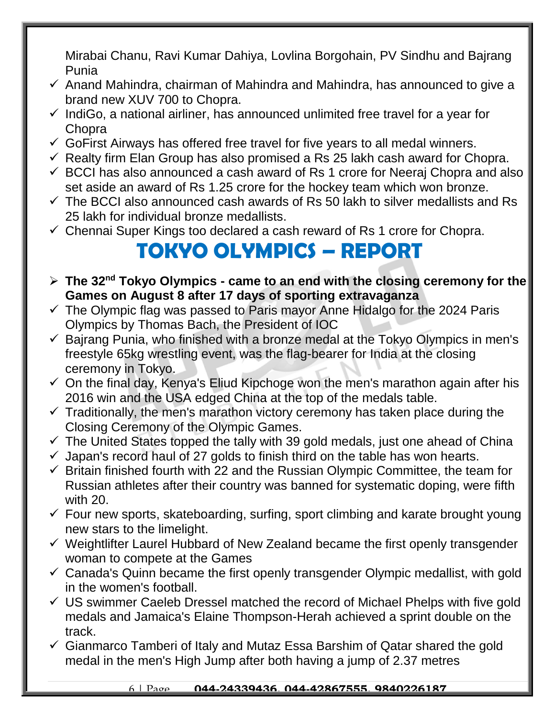Mirabai Chanu, Ravi Kumar Dahiya, Lovlina Borgohain, PV Sindhu and Bajrang Punia

- $\checkmark$  Anand Mahindra, chairman of Mahindra and Mahindra, has announced to give a brand new XUV 700 to Chopra.
- $\checkmark$  IndiGo, a national airliner, has announced unlimited free travel for a year for Chopra
- $\checkmark$  GoFirst Airways has offered free travel for five years to all medal winners.
- $\checkmark$  Realty firm Elan Group has also promised a Rs 25 lakh cash award for Chopra.
- $\checkmark$  BCCI has also announced a cash award of Rs 1 crore for Neeraj Chopra and also set aside an award of Rs 1.25 crore for the hockey team which won bronze.
- $\checkmark$  The BCCI also announced cash awards of Rs 50 lakh to silver medallists and Rs 25 lakh for individual bronze medallists.
- $\checkmark$  Chennai Super Kings too declared a cash reward of Rs 1 crore for Chopra.

### **TOKYO OLYMPICS – REPORT**

- **The 32nd Tokyo Olympics - came to an end with the closing ceremony for the Games on August 8 after 17 days of sporting extravaganza**
- $\checkmark$  The Olympic flag was passed to Paris mayor Anne Hidalgo for the 2024 Paris Olympics by Thomas Bach, the President of IOC
- $\checkmark$  Bajrang Punia, who finished with a bronze medal at the Tokyo Olympics in men's freestyle 65kg wrestling event, was the flag-bearer for India at the closing ceremony in Tokyo.
- $\checkmark$  On the final day, Kenya's Eliud Kipchoge won the men's marathon again after his 2016 win and the USA edged China at the top of the medals table.
- $\checkmark$  Traditionally, the men's marathon victory ceremony has taken place during the Closing Ceremony of the Olympic Games.
- $\checkmark$  The United States topped the tally with 39 gold medals, just one ahead of China
- $\checkmark$  Japan's record haul of 27 golds to finish third on the table has won hearts.
- $\checkmark$  Britain finished fourth with 22 and the Russian Olympic Committee, the team for Russian athletes after their country was banned for systematic doping, were fifth with 20.
- $\checkmark$  Four new sports, skateboarding, surfing, sport climbing and karate brought young new stars to the limelight.
- $\checkmark$  Weightlifter Laurel Hubbard of New Zealand became the first openly transgender woman to compete at the Games
- $\checkmark$  Canada's Quinn became the first openly transgender Olympic medallist, with gold in the women's football.
- $\checkmark$  US swimmer Caeleb Dressel matched the record of Michael Phelps with five gold medals and Jamaica's Elaine Thompson-Herah achieved a sprint double on the track.
- $\checkmark$  Gianmarco Tamberi of Italy and Mutaz Essa Barshim of Qatar shared the gold medal in the men's High Jump after both having a jump of 2.37 metres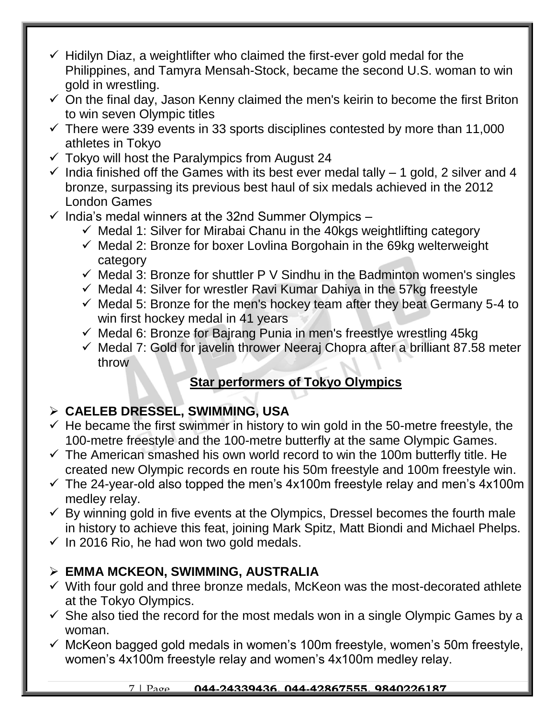- $\checkmark$  Hidilyn Diaz, a weightlifter who claimed the first-ever gold medal for the Philippines, and Tamyra Mensah-Stock, became the second U.S. woman to win gold in wrestling.
- $\checkmark$  On the final day, Jason Kenny claimed the men's keirin to become the first Briton to win seven Olympic titles
- $\checkmark$  There were 339 events in 33 sports disciplines contested by more than 11,000 athletes in Tokyo
- $\checkmark$  Tokyo will host the Paralympics from August 24
- $\checkmark$  India finished off the Games with its best ever medal tally 1 gold, 2 silver and 4 bronze, surpassing its previous best haul of six medals achieved in the 2012 London Games
- $\checkmark$  India's medal winners at the 32nd Summer Olympics
	- $\checkmark$  Medal 1: Silver for Mirabai Chanu in the 40kgs weightlifting category
	- $\checkmark$  Medal 2: Bronze for boxer Lovlina Borgohain in the 69kg welterweight category
	- $\checkmark$  Medal 3: Bronze for shuttler P V Sindhu in the Badminton women's singles
	- $\checkmark$  Medal 4: Silver for wrestler Ravi Kumar Dahiya in the 57kg freestyle
	- $\checkmark$  Medal 5: Bronze for the men's hockey team after they beat Germany 5-4 to win first hockey medal in 41 years
	- $\checkmark$  Medal 6: Bronze for Bajrang Punia in men's freestlye wrestling 45kg
	- $\checkmark$  Medal 7: Gold for javelin thrower Neeraj Chopra after a brilliant 87.58 meter throw

#### **Star performers of Tokyo Olympics**

#### **CAELEB DRESSEL, SWIMMING, USA**

- $\checkmark$  He became the first swimmer in history to win gold in the 50-metre freestyle, the 100-metre freestyle and the 100-metre butterfly at the same Olympic Games.
- $\checkmark$  The American smashed his own world record to win the 100m butterfly title. He created new Olympic records en route his 50m freestyle and 100m freestyle win.
- $\checkmark$  The 24-year-old also topped the men's 4x100m freestyle relay and men's 4x100m medley relay.
- $\checkmark$  By winning gold in five events at the Olympics, Dressel becomes the fourth male in history to achieve this feat, joining Mark Spitz, Matt Biondi and Michael Phelps.
- $\checkmark$  In 2016 Rio, he had won two gold medals.

#### **EMMA MCKEON, SWIMMING, AUSTRALIA**

- $\checkmark$  With four gold and three bronze medals, McKeon was the most-decorated athlete at the Tokyo Olympics.
- $\checkmark$  She also tied the record for the most medals won in a single Olympic Games by a woman.
- $\checkmark$  McKeon bagged gold medals in women's 100m freestyle, women's 50m freestyle, women's 4x100m freestyle relay and women's 4x100m medley relay.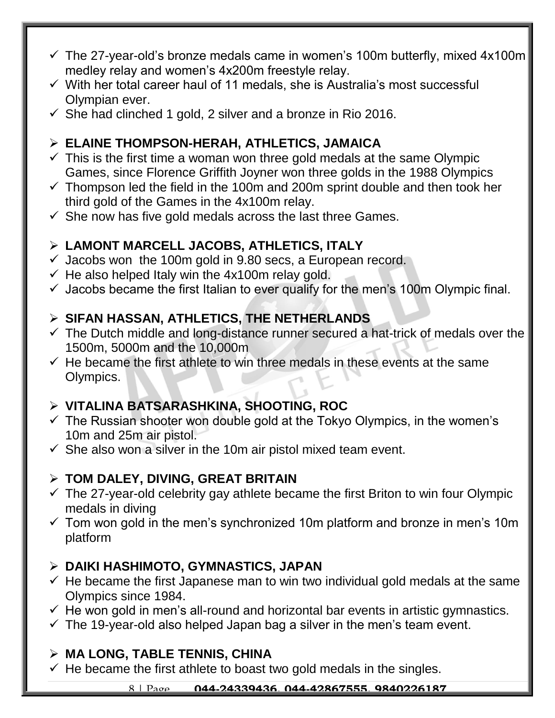- $\checkmark$  The 27-year-old's bronze medals came in women's 100m butterfly, mixed 4x100m medley relay and women's 4x200m freestyle relay.
- $\checkmark$  With her total career haul of 11 medals, she is Australia's most successful Olympian ever.
- $\checkmark$  She had clinched 1 gold, 2 silver and a bronze in Rio 2016.

#### **ELAINE THOMPSON-HERAH, ATHLETICS, JAMAICA**

- $\checkmark$  This is the first time a woman won three gold medals at the same Olympic Games, since Florence Griffith Joyner won three golds in the 1988 Olympics
- $\checkmark$  Thompson led the field in the 100m and 200m sprint double and then took her third gold of the Games in the 4x100m relay.
- $\checkmark$  She now has five gold medals across the last three Games.

#### **LAMONT MARCELL JACOBS, ATHLETICS, ITALY**

- $\checkmark$  Jacobs won the 100m gold in 9.80 secs, a European record.
- $\checkmark$  He also helped Italy win the 4x100m relay gold.
- $\checkmark$  Jacobs became the first Italian to ever qualify for the men's 100m Olympic final.

#### **SIFAN HASSAN, ATHLETICS, THE NETHERLANDS**

- $\checkmark$  The Dutch middle and long-distance runner secured a hat-trick of medals over the 1500m, 5000m and the 10,000m
- $\checkmark$  He became the first athlete to win three medals in these events at the same Olympics.

#### **VITALINA BATSARASHKINA, SHOOTING, ROC**

- $\checkmark$  The Russian shooter won double gold at the Tokyo Olympics, in the women's 10m and 25m air pistol.
- $\checkmark$  She also won a silver in the 10m air pistol mixed team event.

#### **TOM DALEY, DIVING, GREAT BRITAIN**

- $\checkmark$  The 27-year-old celebrity gay athlete became the first Briton to win four Olympic medals in diving
- $\checkmark$  Tom won gold in the men's synchronized 10m platform and bronze in men's 10m platform

#### **DAIKI HASHIMOTO, GYMNASTICS, JAPAN**

- $\checkmark$  He became the first Japanese man to win two individual gold medals at the same Olympics since 1984.
- $\checkmark$  He won gold in men's all-round and horizontal bar events in artistic gymnastics.
- $\checkmark$  The 19-year-old also helped Japan bag a silver in the men's team event.

#### **MA LONG, TABLE TENNIS, CHINA**

 $\checkmark$  He became the first athlete to boast two gold medals in the singles.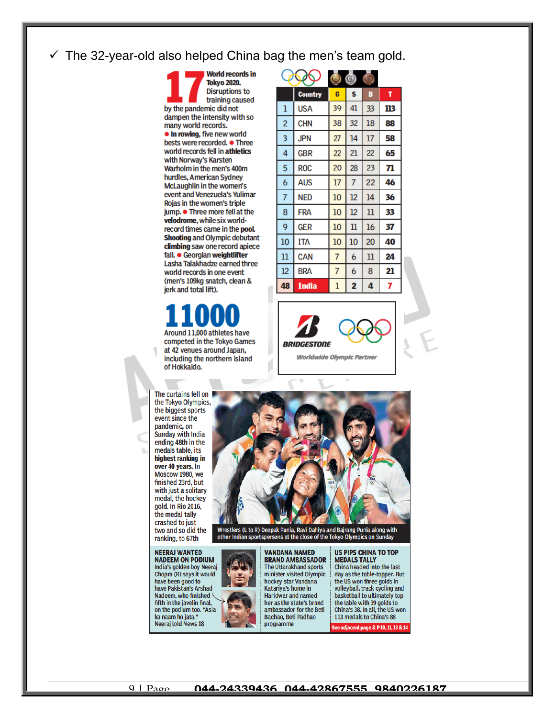$\checkmark$  The 32-year-old also helped China bag the men's team gold.

**World records in Tokyo 2020. Disruptions to** training caused by the pandemic did not dampen the intensity with so many world records. . In rowing, five new world bests were recorded. • Three world records fell in athletics with Norway's Karsten Warholm in the men's 400m hurdles, American Sydney McLaughlin in the women's event and Venezuela's Yulimar Rojas in the women's triple jump. ● Three more fell at the velodrome, while six worldrecord times came in the pool. Shooting and Olympic debutant climbing saw one record apiece fall. · Georgian weightlifter Lasha Talakhadze earned three world records in one event (men's 109kg snatch, clean & jerk and total lift).

Around 11,000 athletes have

competed in the Tokyo Games at 42 venues around Japan, including the northern island of Hokkaido.

|                |                | ⊚              |                |              |     |
|----------------|----------------|----------------|----------------|--------------|-----|
|                | <b>Country</b> | G              | S              | B            | ۲   |
| ı              | USA            | 39             | 41             | 33           | 113 |
| $\overline{2}$ | <b>CHN</b>     | 38             | 32             | 18           | 88  |
| 3              | <b>JPN</b>     | 27             | 14             | 17           | 58  |
| 4              | <b>GBR</b>     | 22             | 21             | 22           | 65  |
| 5              | <b>ROC</b>     | 20             | 28             | 23           | 71  |
| 6              | <b>AUS</b>     | 17             | $\overline{7}$ | 22           | 46  |
| 7              | <b>NED</b>     | 10             | 12             | 14           | 36  |
| 8              | <b>FRA</b>     | 10             | 12             | $\mathbf{u}$ | 33  |
| 9              | <b>GER</b>     | 10             | $\mathbf n$    | 16           | 37  |
| 10             | <b>ITA</b>     | 10             | 10             | 20           | 40  |
| $\mathbf{u}$   | CAN            | $\overline{7}$ | 6              | 11           | 24  |
| 12             | <b>BRA</b>     | $\overline{7}$ | 6              | 8            | 21  |
| 48             | <b>India</b>   | ı              | 2              | 4            | 7   |

**BRIDGESTONE** Worldwide Olympic Partner

The curtains fell on the Tokyo Olympics, the biggest sports event since the pandemic, on Sunday with India ending 48th in the medals table, its highest ranking in over 40 years. In Moscow 1980, we finished 23rd, but with just a solitary medal, the hockey gold. In Rio 2016, the medal tally crashed to just two and so did the ranking, to 67th

**NEERAJ WANTED NADEEM ON PODIUM** India's golden boy Neeraj Chopra (R) says it would have been good to have Pakistan's Arshad Nadeem, who finished fifth in the javelin final, on the podium too. "Asia ka naam ho jata," Neeraj told News 18



Wrestlers (L to R) Deepak Punia, Ravi Dahiya and Bajrang Punia along with<br>other Indian sportspersons at the close of the Tokyo Olympics on Sunday

**VANDANA NAMED BRAND AMBASSADOR** The Uttarakhand sports minister visited Olympic hockey star Vandana Katariya's home in Haridwar and named her as the state's brand ambassador for the Beti Bachao, Beti Padhao programme

**US PIPS CHINA TO TOP MEDALS TALLY** China headed into the last day as the table-topper. But the US won three golds in volleyball, track cycling and basketball to ultimately top the table with 39 golds to China's 38. In all, the US won 113 medals to China's 88 ee adjacent page & P 10, 11, 13 & 14